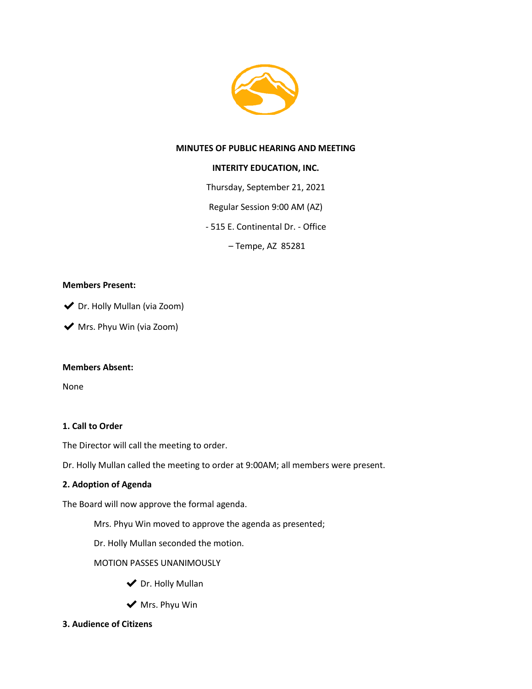

### **MINUTES OF PUBLIC HEARING AND MEETING**

### **INTERITY EDUCATION, INC.**

Thursday, September 21, 2021

Regular Session 9:00 AM (AZ)

- 515 E. Continental Dr. - Office

– Tempe, AZ 85281

#### **Members Present:**

◆ Dr. Holly Mullan (via Zoom)

◆ Mrs. Phyu Win (via Zoom)

### **Members Absent:**

None

### **1. Call to Order**

The Director will call the meeting to order.

Dr. Holly Mullan called the meeting to order at 9:00AM; all members were present.

### **2. Adoption of Agenda**

The Board will now approve the formal agenda.

Mrs. Phyu Win moved to approve the agenda as presented;

Dr. Holly Mullan seconded the motion.

MOTION PASSES UNANIMOUSLY

- ◆ Dr. Holly Mullan
- $\blacktriangleright$  Mrs. Phyu Win
- **3. Audience of Citizens**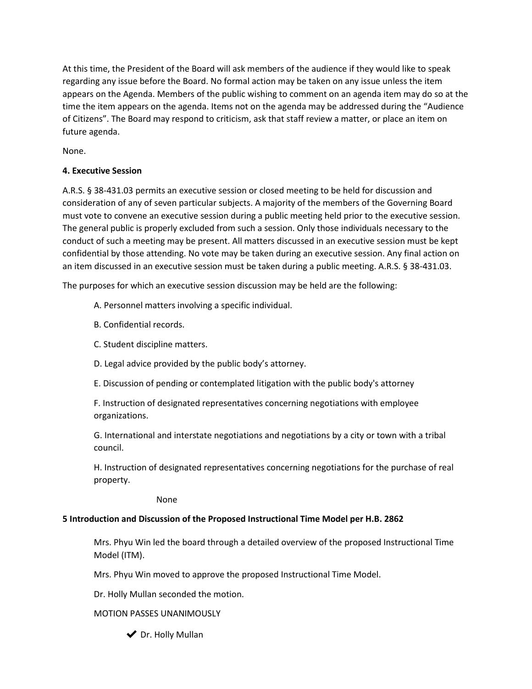At this time, the President of the Board will ask members of the audience if they would like to speak regarding any issue before the Board. No formal action may be taken on any issue unless the item appears on the Agenda. Members of the public wishing to comment on an agenda item may do so at the time the item appears on the agenda. Items not on the agenda may be addressed during the "Audience of Citizens". The Board may respond to criticism, ask that staff review a matter, or place an item on future agenda.

None.

## **4. Executive Session**

A.R.S. § 38-431.03 permits an executive session or closed meeting to be held for discussion and consideration of any of seven particular subjects. A majority of the members of the Governing Board must vote to convene an executive session during a public meeting held prior to the executive session. The general public is properly excluded from such a session. Only those individuals necessary to the conduct of such a meeting may be present. All matters discussed in an executive session must be kept confidential by those attending. No vote may be taken during an executive session. Any final action on an item discussed in an executive session must be taken during a public meeting. A.R.S. § 38-431.03.

The purposes for which an executive session discussion may be held are the following:

- A. Personnel matters involving a specific individual.
- B. Confidential records.
- C. Student discipline matters.
- D. Legal advice provided by the public body's attorney.
- E. Discussion of pending or contemplated litigation with the public body's attorney

F. Instruction of designated representatives concerning negotiations with employee organizations.

G. International and interstate negotiations and negotiations by a city or town with a tribal council.

H. Instruction of designated representatives concerning negotiations for the purchase of real property.

None

### **5 Introduction and Discussion of the Proposed Instructional Time Model per H.B. 2862**

Mrs. Phyu Win led the board through a detailed overview of the proposed Instructional Time Model (ITM).

Mrs. Phyu Win moved to approve the proposed Instructional Time Model.

Dr. Holly Mullan seconded the motion.

### MOTION PASSES UNANIMOUSLY

◆ Dr. Holly Mullan